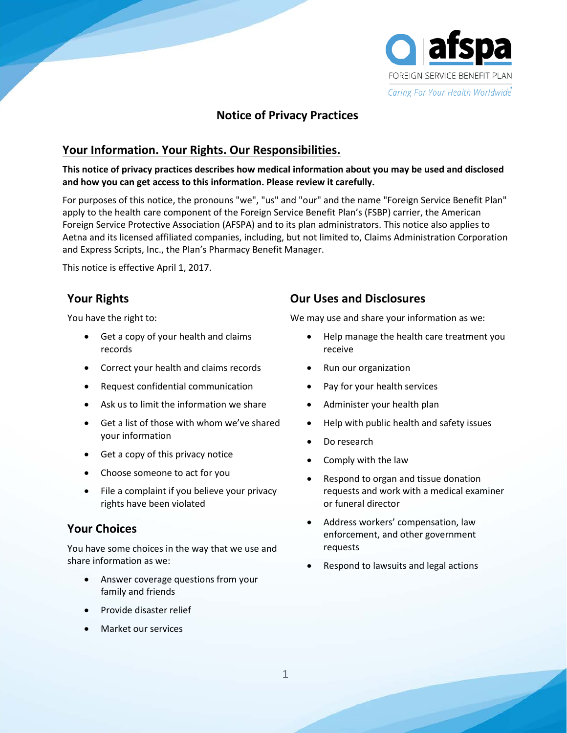

# **Notice of Privacy Practices**

## **Your Information. Your Rights. Our Responsibilities.**

### **This notice of privacy practices describes how medical information about you may be used and disclosed and how you can get access to this information. Please review it carefully.**

For purposes of this notice, the pronouns "we", "us" and "our" and the name "Foreign Service Benefit Plan" apply to the health care component of the Foreign Service Benefit Plan's (FSBP) carrier, the American Foreign Service Protective Association (AFSPA) and to its plan administrators. This notice also applies to Aetna and its licensed affiliated companies, including, but not limited to, Claims Administration Corporation and Express Scripts, Inc., the Plan's Pharmacy Benefit Manager.

This notice is effective April 1, 2017.

# **Your Rights**

You have the right to:

- Get a copy of your health and claims records
- Correct your health and claims records
- Request confidential communication
- Ask us to limit the information we share
- Get a list of those with whom we've shared your information
- Get a copy of this privacy notice
- Choose someone to act for you
- File a complaint if you believe your privacy rights have been violated

### **Your Choices**

You have some choices in the way that we use and share information as we:

- Answer coverage questions from your family and friends
- Provide disaster relief
- Market our services

# **Our Uses and Disclosures**

We may use and share your information as we:

- Help manage the health care treatment you receive
- Run our organization
- Pay for your health services
- Administer your health plan
- Help with public health and safety issues
- Do research
- Comply with the law
- Respond to organ and tissue donation requests and work with a medical examiner or funeral director
- Address workers' compensation, law enforcement, and other government requests
- Respond to lawsuits and legal actions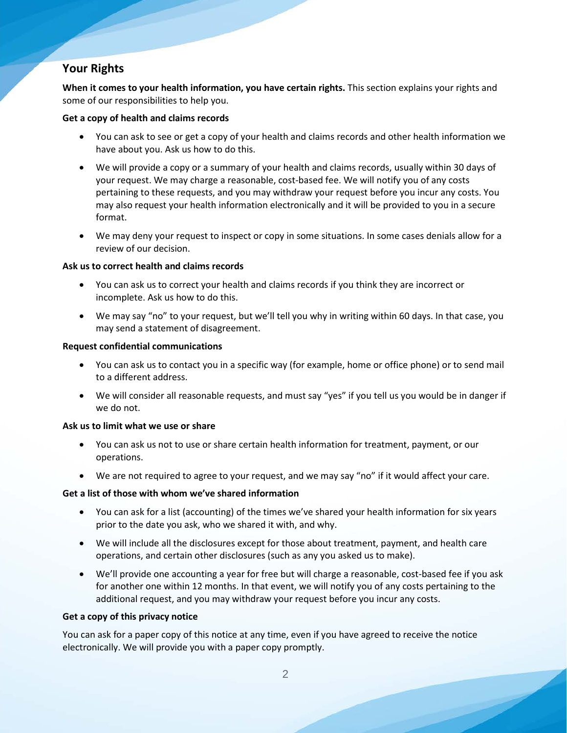# **Your Rights**

**When it comes to your health information, you have certain rights.** This section explains your rights and some of our responsibilities to help you.

### **Get a copy of health and claims records**

- You can ask to see or get a copy of your health and claims records and other health information we have about you. Ask us how to do this.
- We will provide a copy or a summary of your health and claims records, usually within 30 days of your request. We may charge a reasonable, cost-based fee. We will notify you of any costs pertaining to these requests, and you may withdraw your request before you incur any costs. You may also request your health information electronically and it will be provided to you in a secure format.
- We may deny your request to inspect or copy in some situations. In some cases denials allow for a review of our decision.

### **Ask us to correct health and claims records**

- You can ask us to correct your health and claims records if you think they are incorrect or incomplete. Ask us how to do this.
- We may say "no" to your request, but we'll tell you why in writing within 60 days. In that case, you may send a statement of disagreement.

### **Request confidential communications**

- You can ask us to contact you in a specific way (for example, home or office phone) or to send mail to a different address.
- We will consider all reasonable requests, and must say "yes" if you tell us you would be in danger if we do not.

### **Ask us to limit what we use or share**

- You can ask us not to use or share certain health information for treatment, payment, or our operations.
- We are not required to agree to your request, and we may say "no" if it would affect your care.

### **Get a list of those with whom we've shared information**

- You can ask for a list (accounting) of the times we've shared your health information for six years prior to the date you ask, who we shared it with, and why.
- We will include all the disclosures except for those about treatment, payment, and health care operations, and certain other disclosures (such as any you asked us to make).
- We'll provide one accounting a year for free but will charge a reasonable, cost-based fee if you ask for another one within 12 months. In that event, we will notify you of any costs pertaining to the additional request, and you may withdraw your request before you incur any costs.

### **Get a copy of this privacy notice**

You can ask for a paper copy of this notice at any time, even if you have agreed to receive the notice electronically. We will provide you with a paper copy promptly.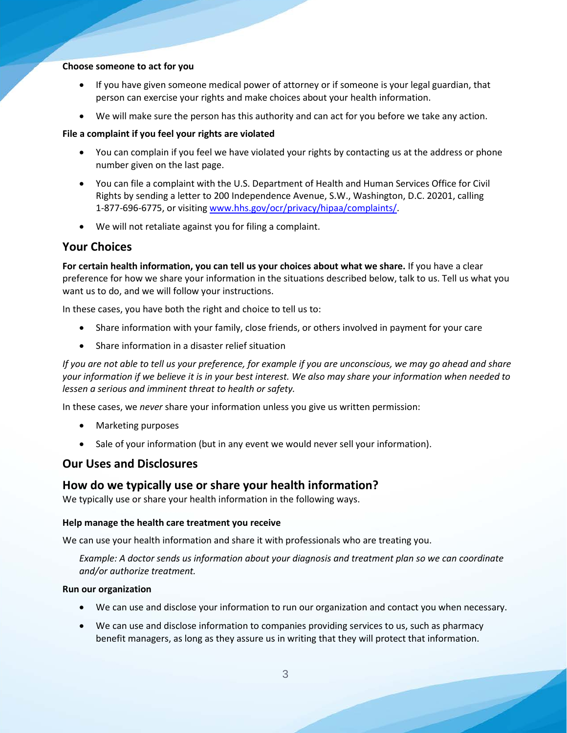#### **Choose someone to act for you**

- If you have given someone medical power of attorney or if someone is your legal guardian, that person can exercise your rights and make choices about your health information.
- We will make sure the person has this authority and can act for you before we take any action.

#### **File a complaint if you feel your rights are violated**

- You can complain if you feel we have violated your rights by contacting us at the address or phone number given on the last page.
- You can file a complaint with the U.S. Department of Health and Human Services Office for Civil Rights by sending a letter to 200 Independence Avenue, S.W., Washington, D.C. 20201, calling 1-877-696-6775, or visiting [www.hhs.gov/ocr/privacy/hipaa/complaints/.](http://www.hhs.gov/ocr/privacy/hipaa/complaints/)
- We will not retaliate against you for filing a complaint.

### **Your Choices**

**For certain health information, you can tell us your choices about what we share.** If you have a clear preference for how we share your information in the situations described below, talk to us. Tell us what you want us to do, and we will follow your instructions.

In these cases, you have both the right and choice to tell us to:

- Share information with your family, close friends, or others involved in payment for your care
- Share information in a disaster relief situation

*If you are not able to tell us your preference, for example if you are unconscious, we may go ahead and share your information if we believe it is in your best interest. We also may share your information when needed to lessen a serious and imminent threat to health or safety.*

In these cases, we *never* share your information unless you give us written permission:

- Marketing purposes
- Sale of your information (but in any event we would never sell your information).

### **Our Uses and Disclosures**

### **How do we typically use or share your health information?**

We typically use or share your health information in the following ways.

#### **Help manage the health care treatment you receive**

We can use your health information and share it with professionals who are treating you.

*Example: A doctor sends us information about your diagnosis and treatment plan so we can coordinate and/or authorize treatment.*

#### **Run our organization**

- We can use and disclose your information to run our organization and contact you when necessary.
- We can use and disclose information to companies providing services to us, such as pharmacy benefit managers, as long as they assure us in writing that they will protect that information.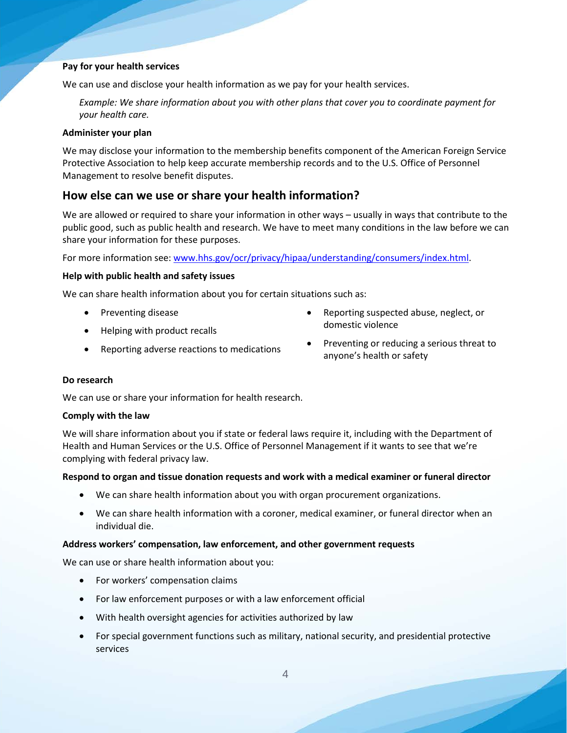#### **Pay for your health services**

We can use and disclose your health information as we pay for your health services.

*Example: We share information about you with other plans that cover you to coordinate payment for your health care.*

#### **Administer your plan**

We may disclose your information to the membership benefits component of the American Foreign Service Protective Association to help keep accurate membership records and to the U.S. Office of Personnel Management to resolve benefit disputes.

# **How else can we use or share your health information?**

We are allowed or required to share your information in other ways – usually in ways that contribute to the public good, such as public health and research. We have to meet many conditions in the law before we can share your information for these purposes.

For more information see: [www.hhs.gov/ocr/privacy/hipaa/understanding/consumers/index.html.](http://www.hhs.gov/ocr/privacy/hipaa/understanding/consumers/index.html)

### **Help with public health and safety issues**

We can share health information about you for certain situations such as:

- Preventing disease
- Helping with product recalls
- Reporting adverse reactions to medications
- Reporting suspected abuse, neglect, or domestic violence
- Preventing or reducing a serious threat to anyone's health or safety

### **Do research**

We can use or share your information for health research.

#### **Comply with the law**

We will share information about you if state or federal laws require it, including with the Department of Health and Human Services or the U.S. Office of Personnel Management if it wants to see that we're complying with federal privacy law.

#### **Respond to organ and tissue donation requests and work with a medical examiner or funeral director**

- We can share health information about you with organ procurement organizations.
- We can share health information with a coroner, medical examiner, or funeral director when an individual die.

#### **Address workers' compensation, law enforcement, and other government requests**

We can use or share health information about you:

- For workers' compensation claims
- For law enforcement purposes or with a law enforcement official
- With health oversight agencies for activities authorized by law
- For special government functions such as military, national security, and presidential protective services